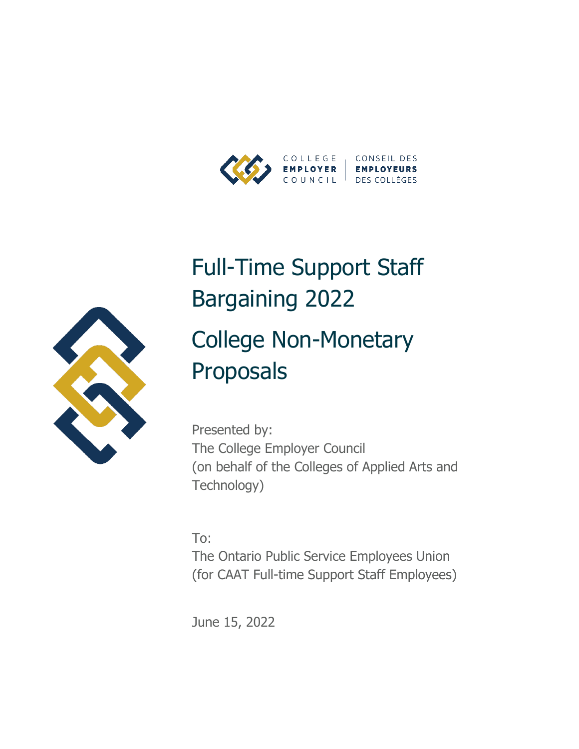



# Full-Time Support Staff Bargaining 2022 College Non-Monetary Proposals

Presented by: The College Employer Council (on behalf of the Colleges of Applied Arts and Technology)

To: The Ontario Public Service Employees Union (for CAAT Full-time Support Staff Employees)

June 15, 2022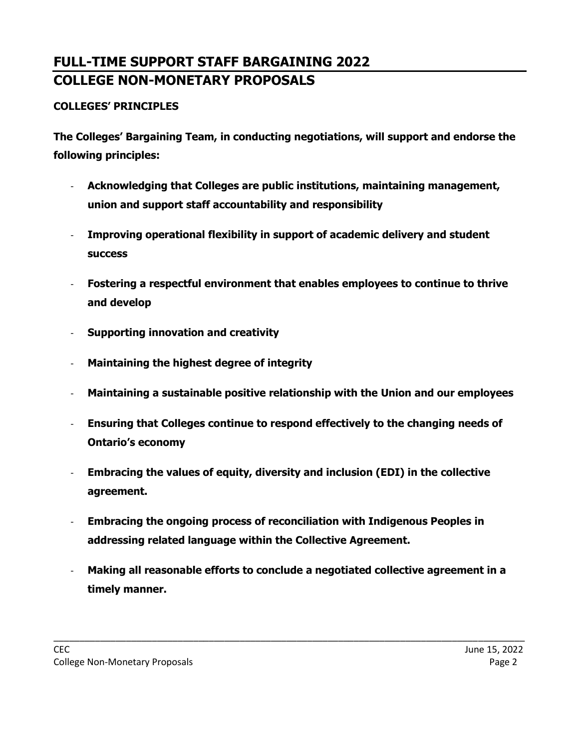## **FULL-TIME SUPPORT STAFF BARGAINING 2022 COLLEGE NON-MONETARY PROPOSALS**

#### **COLLEGES' PRINCIPLES**

**The Colleges' Bargaining Team, in conducting negotiations, will support and endorse the following principles:**

- **Acknowledging that Colleges are public institutions, maintaining management, union and support staff accountability and responsibility**
- **Improving operational flexibility in support of academic delivery and student success**
- **Fostering a respectful environment that enables employees to continue to thrive and develop**
- **Supporting innovation and creativity**
- **Maintaining the highest degree of integrity**
- **Maintaining a sustainable positive relationship with the Union and our employees**
- **Ensuring that Colleges continue to respond effectively to the changing needs of Ontario's economy**
- **Embracing the values of equity, diversity and inclusion (EDI) in the collective agreement.**
- **Embracing the ongoing process of reconciliation with Indigenous Peoples in addressing related language within the Collective Agreement.**
- **Making all reasonable efforts to conclude a negotiated collective agreement in a timely manner.**

\_\_\_\_\_\_\_\_\_\_\_\_\_\_\_\_\_\_\_\_\_\_\_\_\_\_\_\_\_\_\_\_\_\_\_\_\_\_\_\_\_\_\_\_\_\_\_\_\_\_\_\_\_\_\_\_\_\_\_\_\_\_\_\_\_\_\_\_\_\_\_\_\_\_\_\_\_\_\_\_\_\_\_\_\_\_\_\_\_\_\_